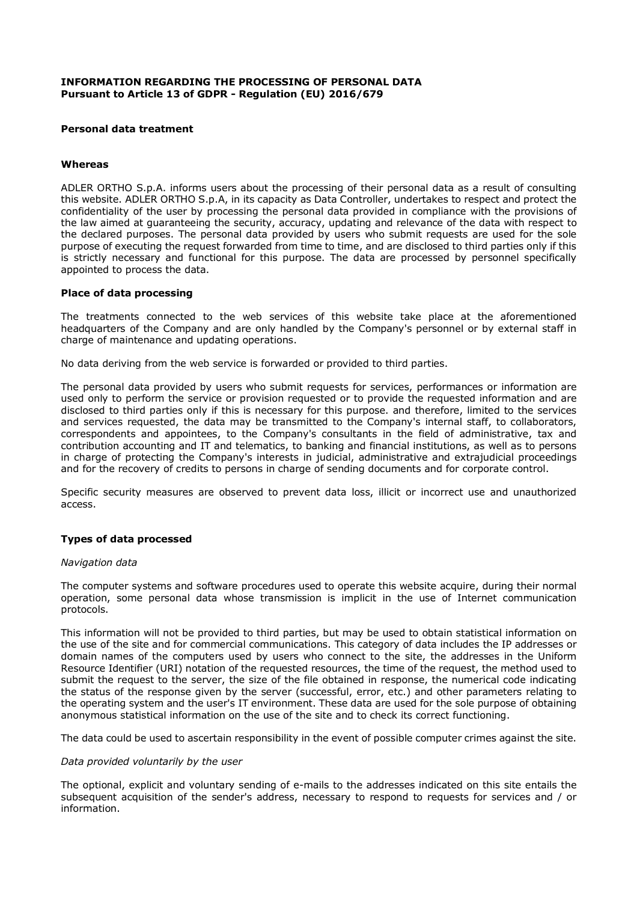### **INFORMATION REGARDING THE PROCESSING OF PERSONAL DATA Pursuant to Article 13 of GDPR - Regulation (EU) 2016/679**

## **Personal data treatment**

# **Whereas**

ADLER ORTHO S.p.A. informs users about the processing of their personal data as a result of consulting this website. ADLER ORTHO S.p.A, in its capacity as Data Controller, undertakes to respect and protect the confidentiality of the user by processing the personal data provided in compliance with the provisions of the law aimed at guaranteeing the security, accuracy, updating and relevance of the data with respect to the declared purposes. The personal data provided by users who submit requests are used for the sole purpose of executing the request forwarded from time to time, and are disclosed to third parties only if this is strictly necessary and functional for this purpose. The data are processed by personnel specifically appointed to process the data.

## **Place of data processing**

The treatments connected to the web services of this website take place at the aforementioned headquarters of the Company and are only handled by the Company's personnel or by external staff in charge of maintenance and updating operations.

No data deriving from the web service is forwarded or provided to third parties.

The personal data provided by users who submit requests for services, performances or information are used only to perform the service or provision requested or to provide the requested information and are disclosed to third parties only if this is necessary for this purpose. and therefore, limited to the services and services requested, the data may be transmitted to the Company's internal staff, to collaborators, correspondents and appointees, to the Company's consultants in the field of administrative, tax and contribution accounting and IT and telematics, to banking and financial institutions, as well as to persons in charge of protecting the Company's interests in judicial, administrative and extrajudicial proceedings and for the recovery of credits to persons in charge of sending documents and for corporate control.

Specific security measures are observed to prevent data loss, illicit or incorrect use and unauthorized access.

## **Types of data processed**

#### *Navigation data*

The computer systems and software procedures used to operate this website acquire, during their normal operation, some personal data whose transmission is implicit in the use of Internet communication protocols.

This information will not be provided to third parties, but may be used to obtain statistical information on the use of the site and for commercial communications. This category of data includes the IP addresses or domain names of the computers used by users who connect to the site, the addresses in the Uniform Resource Identifier (URI) notation of the requested resources, the time of the request, the method used to submit the request to the server, the size of the file obtained in response, the numerical code indicating the status of the response given by the server (successful, error, etc.) and other parameters relating to the operating system and the user's IT environment. These data are used for the sole purpose of obtaining anonymous statistical information on the use of the site and to check its correct functioning.

The data could be used to ascertain responsibility in the event of possible computer crimes against the site.

#### *Data provided voluntarily by the user*

The optional, explicit and voluntary sending of e-mails to the addresses indicated on this site entails the subsequent acquisition of the sender's address, necessary to respond to requests for services and / or information.